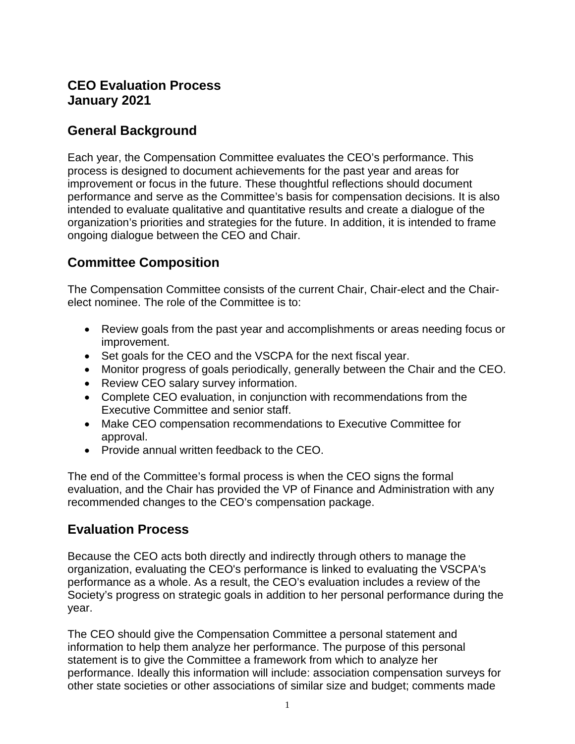### **CEO Evaluation Process January 2021**

### **General Background**

Each year, the Compensation Committee evaluates the CEO's performance. This process is designed to document achievements for the past year and areas for improvement or focus in the future. These thoughtful reflections should document performance and serve as the Committee's basis for compensation decisions. It is also intended to evaluate qualitative and quantitative results and create a dialogue of the organization's priorities and strategies for the future. In addition, it is intended to frame ongoing dialogue between the CEO and Chair.

# **Committee Composition**

The Compensation Committee consists of the current Chair, Chair-elect and the Chairelect nominee. The role of the Committee is to:

- Review goals from the past year and accomplishments or areas needing focus or improvement.
- Set goals for the CEO and the VSCPA for the next fiscal year.
- Monitor progress of goals periodically, generally between the Chair and the CEO.
- Review CEO salary survey information.
- Complete CEO evaluation, in conjunction with recommendations from the Executive Committee and senior staff.
- Make CEO compensation recommendations to Executive Committee for approval.
- Provide annual written feedback to the CEO.

The end of the Committee's formal process is when the CEO signs the formal evaluation, and the Chair has provided the VP of Finance and Administration with any recommended changes to the CEO's compensation package.

### **Evaluation Process**

Because the CEO acts both directly and indirectly through others to manage the organization, evaluating the CEO's performance is linked to evaluating the VSCPA's performance as a whole. As a result, the CEO's evaluation includes a review of the Society's progress on strategic goals in addition to her personal performance during the year.

The CEO should give the Compensation Committee a personal statement and information to help them analyze her performance. The purpose of this personal statement is to give the Committee a framework from which to analyze her performance. Ideally this information will include: association compensation surveys for other state societies or other associations of similar size and budget; comments made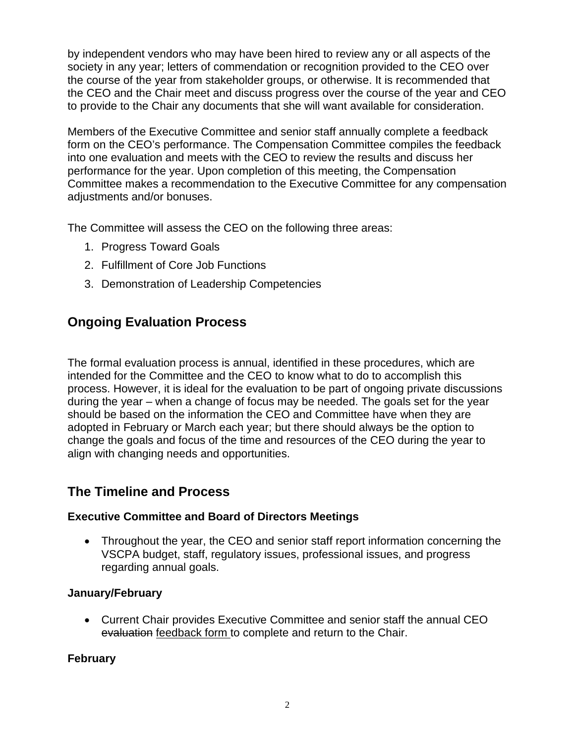by independent vendors who may have been hired to review any or all aspects of the society in any year; letters of commendation or recognition provided to the CEO over the course of the year from stakeholder groups, or otherwise. It is recommended that the CEO and the Chair meet and discuss progress over the course of the year and CEO to provide to the Chair any documents that she will want available for consideration.

Members of the Executive Committee and senior staff annually complete a feedback form on the CEO's performance. The Compensation Committee compiles the feedback into one evaluation and meets with the CEO to review the results and discuss her performance for the year. Upon completion of this meeting, the Compensation Committee makes a recommendation to the Executive Committee for any compensation adjustments and/or bonuses.

The Committee will assess the CEO on the following three areas:

- 1. Progress Toward Goals
- 2. Fulfillment of Core Job Functions
- 3. Demonstration of Leadership Competencies

# **Ongoing Evaluation Process**

The formal evaluation process is annual, identified in these procedures, which are intended for the Committee and the CEO to know what to do to accomplish this process. However, it is ideal for the evaluation to be part of ongoing private discussions during the year – when a change of focus may be needed. The goals set for the year should be based on the information the CEO and Committee have when they are adopted in February or March each year; but there should always be the option to change the goals and focus of the time and resources of the CEO during the year to align with changing needs and opportunities.

## **The Timeline and Process**

### **Executive Committee and Board of Directors Meetings**

• Throughout the year, the CEO and senior staff report information concerning the VSCPA budget, staff, regulatory issues, professional issues, and progress regarding annual goals.

### **January/February**

• Current Chair provides Executive Committee and senior staff the annual CEO evaluation feedback form to complete and return to the Chair.

### **February**